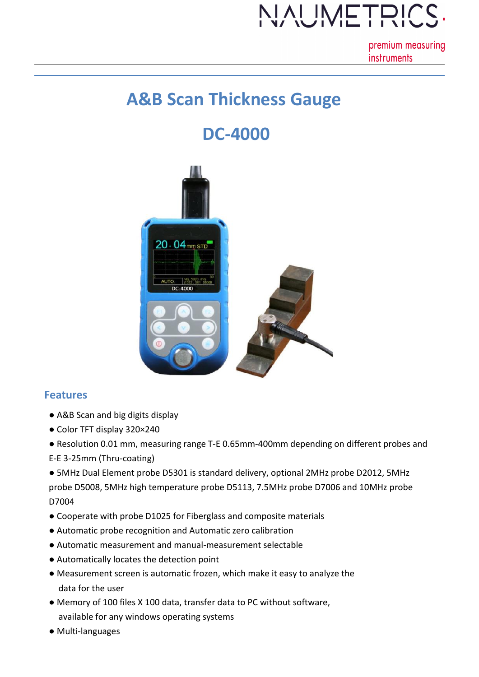# JAUMETRIC

premium measuring **instruments** 

### **A&B Scan Thickness Gauge**

## **DC-4000**



### **Features**

- A&B Scan and big digits display
- Color TFT display 320×240
- Resolution 0.01 mm, measuring range T-E 0.65mm-400mm depending on different probes and
- E-E 3-25mm (Thru-coating)
- 5MHz Dual Element probe D5301 is standard delivery, optional 2MHz probe D2012, 5MHz probe D5008, 5MHz high temperature probe D5113, 7.5MHz probe D7006 and 10MHz probe D7004
- Cooperate with probe D1025 for Fiberglass and composite materials
- Automatic probe recognition and Automatic zero calibration
- Automatic measurement and manual-measurement selectable
- Automatically locates the detection point
- Measurement screen is automatic frozen, which make it easy to analyze the data for the user
- Memory of 100 files X 100 data, transfer data to PC without software, available for any windows operating systems
- Multi-languages